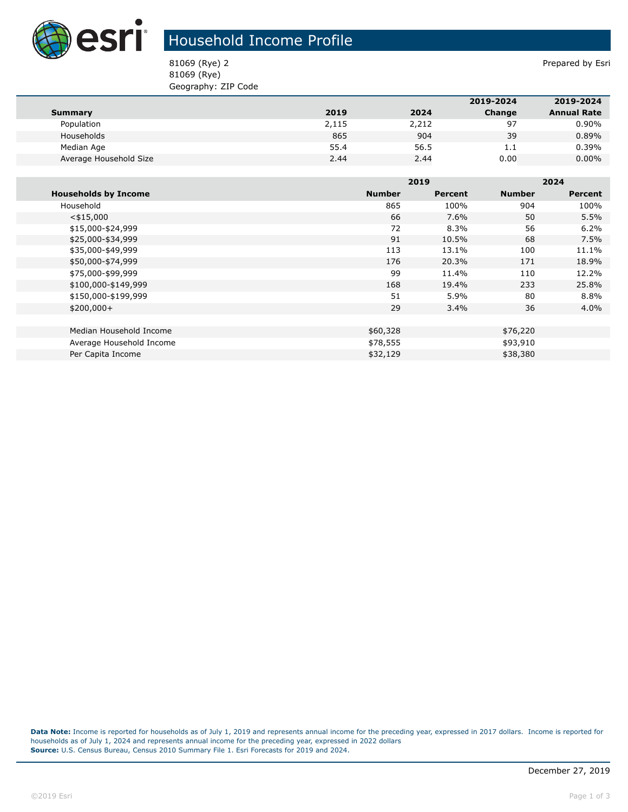

## Household Income Profile

81069 (Rye) 2 Prepared by Esri 81069 (Rye) Geography: ZIP Code

|                        |       |       | 2019-2024 | 2019-2024          |
|------------------------|-------|-------|-----------|--------------------|
| Summary                | 2019  | 2024  | Change    | <b>Annual Rate</b> |
| Population             | 2,115 | 2,212 | 97        | $0.90\%$           |
| Households             | 865   | 904   | 39        | 0.89%              |
| Median Age             | 55.4  | 56.5  | 1.1       | 0.39%              |
| Average Household Size | 2.44  | 2.44  | 0.00      | $0.00\%$           |

|                             |               | 2019    |               | 2024           |  |
|-----------------------------|---------------|---------|---------------|----------------|--|
| <b>Households by Income</b> | <b>Number</b> | Percent | <b>Number</b> | <b>Percent</b> |  |
| Household                   | 865           | 100%    | 904           | 100%           |  |
| $<$ \$15,000                | 66            | 7.6%    | 50            | 5.5%           |  |
| \$15,000-\$24,999           | 72            | 8.3%    | 56            | 6.2%           |  |
| \$25,000-\$34,999           | 91            | 10.5%   | 68            | 7.5%           |  |
| \$35,000-\$49,999           | 113           | 13.1%   | 100           | 11.1%          |  |
| \$50,000-\$74,999           | 176           | 20.3%   | 171           | 18.9%          |  |
| \$75,000-\$99,999           | 99            | 11.4%   | 110           | 12.2%          |  |
| \$100,000-\$149,999         | 168           | 19.4%   | 233           | 25.8%          |  |
| \$150,000-\$199,999         | 51            | 5.9%    | 80            | 8.8%           |  |
| $$200,000+$                 | 29            | $3.4\%$ | 36            | $4.0\%$        |  |
|                             |               |         |               |                |  |
| Median Household Income     | \$60,328      |         | \$76,220      |                |  |
| Average Household Income    | \$78,555      |         | \$93,910      |                |  |
| Per Capita Income           | \$32,129      |         | \$38,380      |                |  |

**Data Note:** Income is reported for households as of July 1, 2019 and represents annual income for the preceding year, expressed in 2017 dollars. Income is reported for households as of July 1, 2024 and represents annual income for the preceding year, expressed in 2022 dollars **Source:** U.S. Census Bureau, Census 2010 Summary File 1. Esri Forecasts for 2019 and 2024.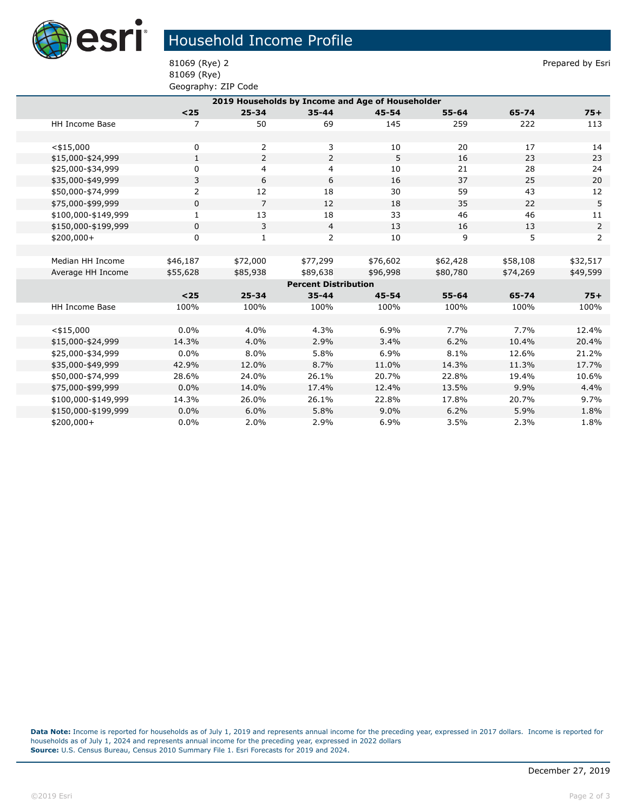

## Household Income Profile

81069 (Rye) Geography: ZIP Code

81069 (Rye) 2 Prepared by Esri

| 2019 Households by Income and Age of Householder |                |                |                |           |           |          |                |  |
|--------------------------------------------------|----------------|----------------|----------------|-----------|-----------|----------|----------------|--|
|                                                  | $<25$          | $25 - 34$      | $35 - 44$      | $45 - 54$ | $55 - 64$ | 65-74    | $75+$          |  |
| <b>HH Income Base</b>                            | $\overline{7}$ | 50             | 69             | 145       | 259       | 222      | 113            |  |
|                                                  |                |                |                |           |           |          |                |  |
| $<$ \$15,000                                     | 0              | 2              | 3              | 10        | 20        | 17       | 14             |  |
| \$15,000-\$24,999                                | $\mathbf{1}$   | $\overline{2}$ | $\overline{2}$ | 5         | 16        | 23       | 23             |  |
| \$25,000-\$34,999                                | 0              | 4              | 4              | 10        | 21        | 28       | 24             |  |
| \$35,000-\$49,999                                | 3              | 6              | 6              | 16        | 37        | 25       | 20             |  |
| \$50,000-\$74,999                                | $\overline{2}$ | 12             | 18             | 30        | 59        | 43       | 12             |  |
| \$75,000-\$99,999                                | $\mathbf{0}$   | $\overline{7}$ | 12             | 18        | 35        | 22       | 5              |  |
| \$100,000-\$149,999                              | 1              | 13             | 18             | 33        | 46        | 46       | 11             |  |
| \$150,000-\$199,999                              | 0              | 3              | $\overline{4}$ | 13        | 16        | 13       | $\overline{2}$ |  |
| $$200,000+$                                      | 0              | 1              | 2              | 10        | 9         | 5        | 2              |  |
|                                                  |                |                |                |           |           |          |                |  |
| Median HH Income                                 | \$46,187       | \$72,000       | \$77,299       | \$76,602  | \$62,428  | \$58,108 | \$32,517       |  |
| Average HH Income                                | \$55,628       | \$85,938       | \$89,638       | \$96,998  | \$80,780  | \$74,269 | \$49,599       |  |
| <b>Percent Distribution</b>                      |                |                |                |           |           |          |                |  |
|                                                  | $25$           | $25 - 34$      | $35 - 44$      | $45 - 54$ | $55 - 64$ | 65-74    | $75+$          |  |
| HH Income Base                                   | 100%           | 100%           | 100%           | 100%      | 100%      | 100%     | 100%           |  |
|                                                  |                |                |                |           |           |          |                |  |
| $<$ \$15,000                                     | $0.0\%$        | 4.0%           | 4.3%           | 6.9%      | 7.7%      | 7.7%     | 12.4%          |  |
| \$15,000-\$24,999                                | 14.3%          | 4.0%           | 2.9%           | 3.4%      | 6.2%      | 10.4%    | 20.4%          |  |
| \$25,000-\$34,999                                | 0.0%           | 8.0%           | 5.8%           | 6.9%      | 8.1%      | 12.6%    | 21.2%          |  |
| \$35,000-\$49,999                                | 42.9%          | 12.0%          | 8.7%           | 11.0%     | 14.3%     | 11.3%    | 17.7%          |  |
| \$50,000-\$74,999                                | 28.6%          | 24.0%          | 26.1%          | 20.7%     | 22.8%     | 19.4%    | 10.6%          |  |
| \$75,000-\$99,999                                | 0.0%           | 14.0%          | 17.4%          | 12.4%     | 13.5%     | 9.9%     | 4.4%           |  |
| \$100,000-\$149,999                              | 14.3%          | 26.0%          | 26.1%          | 22.8%     | 17.8%     | 20.7%    | 9.7%           |  |
| \$150,000-\$199,999                              | 0.0%           | 6.0%           | 5.8%           | 9.0%      | 6.2%      | 5.9%     | 1.8%           |  |
| $$200,000+$                                      | 0.0%           | 2.0%           | 2.9%           | 6.9%      | 3.5%      | 2.3%     | 1.8%           |  |

**Data Note:** Income is reported for households as of July 1, 2019 and represents annual income for the preceding year, expressed in 2017 dollars. Income is reported for households as of July 1, 2024 and represents annual income for the preceding year, expressed in 2022 dollars **Source:** U.S. Census Bureau, Census 2010 Summary File 1. Esri Forecasts for 2019 and 2024.